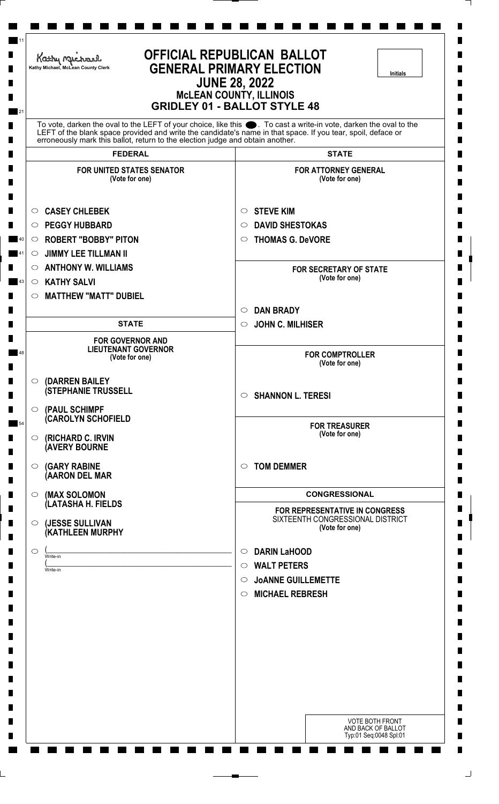| <b>OFFICIAL REPUBLICAN BALLOT</b><br>Kathy Michael<br><b>GENERAL PRIMARY ELECTION</b><br>Kathy Michael, McLean County Clerk<br><b>Initials</b><br><b>JUNE 28, 2022</b><br><b>McLEAN COUNTY, ILLINOIS</b><br><b>GRIDLEY 01 - BALLOT STYLE 48</b> |                                                                                                                                                                                                                                   |  |
|-------------------------------------------------------------------------------------------------------------------------------------------------------------------------------------------------------------------------------------------------|-----------------------------------------------------------------------------------------------------------------------------------------------------------------------------------------------------------------------------------|--|
|                                                                                                                                                                                                                                                 | To vote, darken the oval to the LEFT of your choice, like this ●. To cast a write-in vote, darken the oval to the<br>LEFT of the blank space provided and write the candidate's name in that space. If you tear, spoil, deface or |  |
| erroneously mark this ballot, return to the election judge and obtain another.<br><b>FEDERAL</b>                                                                                                                                                | <b>STATE</b>                                                                                                                                                                                                                      |  |
| FOR UNITED STATES SENATOR                                                                                                                                                                                                                       | <b>FOR ATTORNEY GENERAL</b>                                                                                                                                                                                                       |  |
| (Vote for one)                                                                                                                                                                                                                                  | (Vote for one)                                                                                                                                                                                                                    |  |
| <b>CASEY CHLEBEK</b><br>$\circ$                                                                                                                                                                                                                 | <b>STEVE KIM</b><br>$\circ$                                                                                                                                                                                                       |  |
| <b>PEGGY HUBBARD</b><br>O                                                                                                                                                                                                                       | <b>DAVID SHESTOKAS</b><br>$\circ$                                                                                                                                                                                                 |  |
| <b>ROBERT "BOBBY" PITON</b><br>$\circ$                                                                                                                                                                                                          | <b>THOMAS G. DeVORE</b><br>$\circ$                                                                                                                                                                                                |  |
| <b>JIMMY LEE TILLMAN II</b><br>$\circ$                                                                                                                                                                                                          |                                                                                                                                                                                                                                   |  |
| <b>ANTHONY W. WILLIAMS</b><br>$\circ$                                                                                                                                                                                                           | <b>FOR SECRETARY OF STATE</b><br>(Vote for one)                                                                                                                                                                                   |  |
| <b>KATHY SALVI</b><br>$\circ$                                                                                                                                                                                                                   |                                                                                                                                                                                                                                   |  |
| <b>MATTHEW "MATT" DUBIEL</b><br>$\circ$                                                                                                                                                                                                         |                                                                                                                                                                                                                                   |  |
| <b>STATE</b>                                                                                                                                                                                                                                    | <b>DAN BRADY</b><br>$\circ$<br><b>JOHN C. MILHISER</b><br>$\circ$                                                                                                                                                                 |  |
|                                                                                                                                                                                                                                                 |                                                                                                                                                                                                                                   |  |
| <b>FOR GOVERNOR AND</b><br><b>LIEUTENANT GOVERNOR</b><br>(Vote for one)                                                                                                                                                                         | <b>FOR COMPTROLLER</b><br>(Vote for one)                                                                                                                                                                                          |  |
| (DARREN BAILEY<br>$\circ$                                                                                                                                                                                                                       |                                                                                                                                                                                                                                   |  |
| <b>(STEPHANIE TRUSSELL</b>                                                                                                                                                                                                                      | <b>SHANNON L. TERESI</b><br>$\circ$                                                                                                                                                                                               |  |
| (PAUL SCHIMPF<br>$\circ$                                                                                                                                                                                                                        |                                                                                                                                                                                                                                   |  |
| (CAROLYN SCHOFIELD                                                                                                                                                                                                                              | <b>FOR TREASURER</b>                                                                                                                                                                                                              |  |
| (RICHARD C. IRVIN<br>$\circ$<br><b>AVERY BOURNE</b>                                                                                                                                                                                             | (Vote for one)                                                                                                                                                                                                                    |  |
| <b>(GARY RABINE</b><br>$\circ$<br>(AARON DEL MAR                                                                                                                                                                                                | <b>TOM DEMMER</b><br>$\circ$                                                                                                                                                                                                      |  |
| (MAX SOLOMON<br>$\circ$                                                                                                                                                                                                                         | <b>CONGRESSIONAL</b>                                                                                                                                                                                                              |  |
| (LATASHA H. FIELDS                                                                                                                                                                                                                              | FOR REPRESENTATIVE IN CONGRESS                                                                                                                                                                                                    |  |
| (JESSE SULLIVAN<br>$\circ$<br>(KATHLEEN MURPHY                                                                                                                                                                                                  | SIXTEENTH CONGRESSIONAL DISTRICT<br>(Vote for one)                                                                                                                                                                                |  |
| $\circ$<br>Write-in                                                                                                                                                                                                                             | <b>DARIN LaHOOD</b><br>$\circ$                                                                                                                                                                                                    |  |
| Write-in                                                                                                                                                                                                                                        | <b>WALT PETERS</b><br>$\circ$                                                                                                                                                                                                     |  |
|                                                                                                                                                                                                                                                 | <b>JOANNE GUILLEMETTE</b><br>$\circ$                                                                                                                                                                                              |  |
|                                                                                                                                                                                                                                                 | <b>MICHAEL REBRESH</b><br>$\circ$                                                                                                                                                                                                 |  |
|                                                                                                                                                                                                                                                 |                                                                                                                                                                                                                                   |  |
|                                                                                                                                                                                                                                                 |                                                                                                                                                                                                                                   |  |
|                                                                                                                                                                                                                                                 |                                                                                                                                                                                                                                   |  |
|                                                                                                                                                                                                                                                 |                                                                                                                                                                                                                                   |  |
|                                                                                                                                                                                                                                                 |                                                                                                                                                                                                                                   |  |
|                                                                                                                                                                                                                                                 |                                                                                                                                                                                                                                   |  |
|                                                                                                                                                                                                                                                 | <b>VOTE BOTH FRONT</b>                                                                                                                                                                                                            |  |
|                                                                                                                                                                                                                                                 | AND BACK OF BALLOT<br>Typ:01 Seq:0048 Spl:01                                                                                                                                                                                      |  |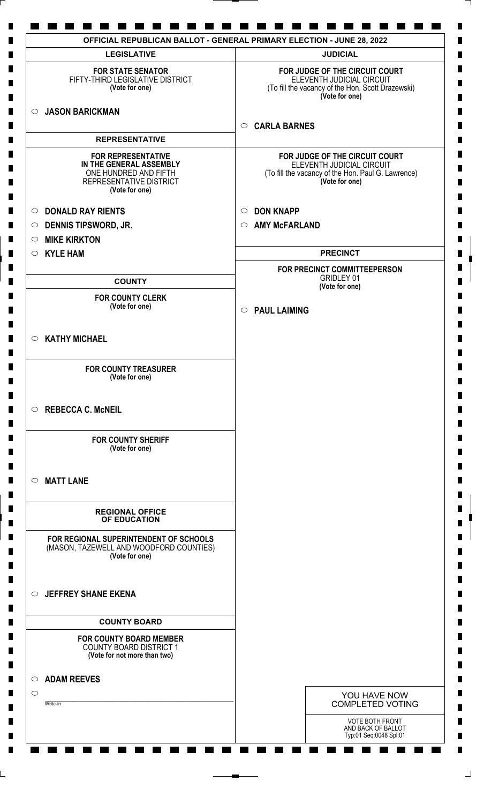| <b>LEGISLATIVE</b>                                                                                                         | <b>JUDICIAL</b>                                                                                                                     |
|----------------------------------------------------------------------------------------------------------------------------|-------------------------------------------------------------------------------------------------------------------------------------|
| <b>FOR STATE SENATOR</b><br>FIFTY-THIRD LEGISLATIVE DISTRICT<br>(Vote for one)                                             | FOR JUDGE OF THE CIRCUIT COURT<br>ELEVENTH JUDICIAL CIRCUIT<br>(To fill the vacancy of the Hon. Scott Drazewski)<br>(Vote for one)  |
| <b>JASON BARICKMAN</b><br>$\circ$                                                                                          | <b>CARLA BARNES</b><br>$\circ$                                                                                                      |
| <b>REPRESENTATIVE</b>                                                                                                      |                                                                                                                                     |
| <b>FOR REPRESENTATIVE</b><br>IN THE GENERAL ASSEMBLY<br>ONE HUNDRED AND FIFTH<br>REPRESENTATIVE DISTRICT<br>(Vote for one) | FOR JUDGE OF THE CIRCUIT COURT<br>ELEVENTH JUDICIAL CIRCUIT<br>(To fill the vacancy of the Hon. Paul G. Lawrence)<br>(Vote for one) |
| <b>DONALD RAY RIENTS</b><br>$\circ$                                                                                        | <b>DON KNAPP</b><br>$\circ$                                                                                                         |
| <b>DENNIS TIPSWORD, JR.</b><br>$\circ$                                                                                     | <b>AMY McFARLAND</b><br>$\circ$                                                                                                     |
| <b>MIKE KIRKTON</b><br>$\circ$                                                                                             |                                                                                                                                     |
| <b>KYLE HAM</b><br>$\circ$                                                                                                 | <b>PRECINCT</b>                                                                                                                     |
| <b>COUNTY</b>                                                                                                              | FOR PRECINCT COMMITTEEPERSON<br><b>GRIDLEY 01</b>                                                                                   |
| <b>FOR COUNTY CLERK</b>                                                                                                    | (Vote for one)                                                                                                                      |
| (Vote for one)                                                                                                             | <b>PAUL LAIMING</b><br>$\circ$                                                                                                      |
| <b>KATHY MICHAEL</b><br>$\circ$                                                                                            |                                                                                                                                     |
| <b>FOR COUNTY TREASURER</b><br>(Vote for one)                                                                              |                                                                                                                                     |
| $\circ$ REBECCA C. McNEIL                                                                                                  |                                                                                                                                     |
| <b>FOR COUNTY SHERIFF</b><br>(Vote for one)                                                                                |                                                                                                                                     |
| <b>MATT LANE</b><br>$\circ$                                                                                                |                                                                                                                                     |
| <b>REGIONAL OFFICE</b><br>OF EDUCATION                                                                                     |                                                                                                                                     |
| FOR REGIONAL SUPERINTENDENT OF SCHOOLS<br>(MASON, TAZEWELL AND WOODFORD COUNTIES)<br>(Vote for one)                        |                                                                                                                                     |
| <b>JEFFREY SHANE EKENA</b><br>$\circ$                                                                                      |                                                                                                                                     |
| <b>COUNTY BOARD</b>                                                                                                        |                                                                                                                                     |
| <b>FOR COUNTY BOARD MEMBER</b><br><b>COUNTY BOARD DISTRICT 1</b><br>(Vote for not more than two)                           |                                                                                                                                     |
| <b>ADAM REEVES</b><br>$\circ$                                                                                              |                                                                                                                                     |
| $\circ$                                                                                                                    | YOU HAVE NOW                                                                                                                        |
| Write-in                                                                                                                   | <b>COMPLETED VOTING</b>                                                                                                             |
|                                                                                                                            | <b>VOTE BOTH FRONT</b><br>AND BACK OF BALLOT<br>Typ:01 Seq:0048 Spl:01                                                              |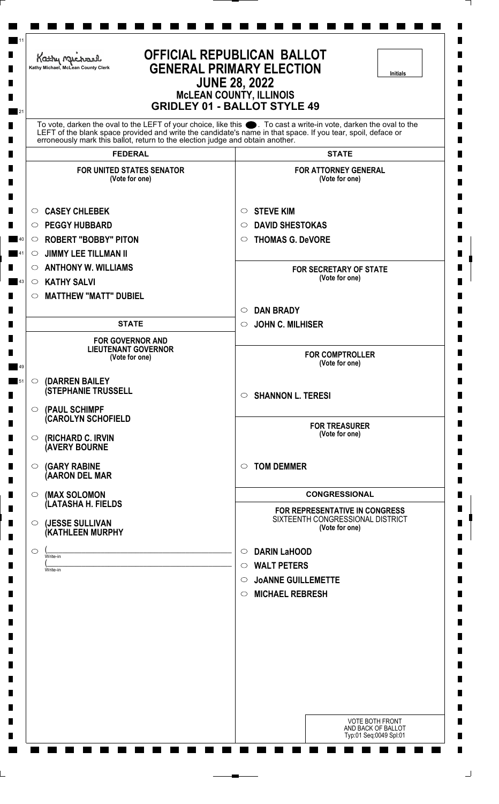| <b>OFFICIAL REPUBLICAN BALLOT</b><br>Kathy Michael<br><b>GENERAL PRIMARY ELECTION</b><br>Kathy Michael, McLean County Clerk<br><b>Initials</b><br><b>JUNE 28, 2022</b><br><b>McLEAN COUNTY, ILLINOIS</b><br><b>GRIDLEY 01 - BALLOT STYLE 49</b>                                                                     |                                                                           |  |  |
|---------------------------------------------------------------------------------------------------------------------------------------------------------------------------------------------------------------------------------------------------------------------------------------------------------------------|---------------------------------------------------------------------------|--|--|
| To vote, darken the oval to the LEFT of your choice, like this ●. To cast a write-in vote, darken the oval to the<br>LEFT of the blank space provided and write the candidate's name in that space. If you tear, spoil, deface or<br>erroneously mark this ballot, return to the election judge and obtain another. |                                                                           |  |  |
| <b>FEDERAL</b>                                                                                                                                                                                                                                                                                                      | <b>STATE</b>                                                              |  |  |
| <b>FOR UNITED STATES SENATOR</b><br>(Vote for one)                                                                                                                                                                                                                                                                  | <b>FOR ATTORNEY GENERAL</b><br>(Vote for one)                             |  |  |
| <b>CASEY CHLEBEK</b><br>$\circ$                                                                                                                                                                                                                                                                                     | <b>STEVE KIM</b><br>$\circ$                                               |  |  |
| <b>PEGGY HUBBARD</b><br>O                                                                                                                                                                                                                                                                                           | <b>DAVID SHESTOKAS</b><br>O                                               |  |  |
| $\circ$ ROBERT "BOBBY" PITON                                                                                                                                                                                                                                                                                        | <b>THOMAS G. DeVORE</b><br>$\circ$                                        |  |  |
| <b>JIMMY LEE TILLMAN II</b><br>$\circ$                                                                                                                                                                                                                                                                              |                                                                           |  |  |
| <b>ANTHONY W. WILLIAMS</b><br>$\circ$                                                                                                                                                                                                                                                                               | <b>FOR SECRETARY OF STATE</b><br>(Vote for one)                           |  |  |
| <b>KATHY SALVI</b><br>$\circ$                                                                                                                                                                                                                                                                                       |                                                                           |  |  |
| <b>MATTHEW "MATT" DUBIEL</b><br>$\circ$                                                                                                                                                                                                                                                                             | <b>DAN BRADY</b><br>$\circ$                                               |  |  |
| <b>STATE</b>                                                                                                                                                                                                                                                                                                        | <b>JOHN C. MILHISER</b><br>$\circ$                                        |  |  |
| <b>FOR GOVERNOR AND</b>                                                                                                                                                                                                                                                                                             |                                                                           |  |  |
| <b>LIEUTENANT GOVERNOR</b><br>(Vote for one)                                                                                                                                                                                                                                                                        | <b>FOR COMPTROLLER</b><br>(Vote for one)                                  |  |  |
| (DARREN BAILEY<br>$\circ$                                                                                                                                                                                                                                                                                           |                                                                           |  |  |
| <b>(STEPHANIE TRUSSELL</b>                                                                                                                                                                                                                                                                                          | <b>SHANNON L. TERESI</b><br>$\circ$                                       |  |  |
| (PAUL SCHIMPF<br>$\circ$                                                                                                                                                                                                                                                                                            |                                                                           |  |  |
| (CAROLYN SCHOFIELD                                                                                                                                                                                                                                                                                                  | <b>FOR TREASURER</b>                                                      |  |  |
| (RICHARD C. IRVIN<br>$\circ$<br><b>(AVERY BOURNE</b>                                                                                                                                                                                                                                                                | (Vote for one)                                                            |  |  |
| <b>(GARY RABINE</b><br>$\circ$<br>(AARON DEL MAR                                                                                                                                                                                                                                                                    | <b>TOM DEMMER</b><br>$\circ$                                              |  |  |
| (MAX SOLOMON<br>$\circ$                                                                                                                                                                                                                                                                                             | <b>CONGRESSIONAL</b>                                                      |  |  |
| (LATASHA H. FIELDS                                                                                                                                                                                                                                                                                                  | FOR REPRESENTATIVE IN CONGRESS                                            |  |  |
| (JESSE SULLIVAN<br>$\circ$<br>(KATHLEEN MURPHY                                                                                                                                                                                                                                                                      | SIXTEENTH CONGRESSIONAL DISTRICT<br>(Vote for one)                        |  |  |
| $\circ$<br>Write-in                                                                                                                                                                                                                                                                                                 | <b>DARIN LaHOOD</b><br>$\circ$                                            |  |  |
| Write-in                                                                                                                                                                                                                                                                                                            | <b>WALT PETERS</b><br>$\circ$                                             |  |  |
|                                                                                                                                                                                                                                                                                                                     | <b>JOANNE GUILLEMETTE</b><br>$\circ$<br><b>MICHAEL REBRESH</b><br>$\circ$ |  |  |
|                                                                                                                                                                                                                                                                                                                     |                                                                           |  |  |
|                                                                                                                                                                                                                                                                                                                     |                                                                           |  |  |
|                                                                                                                                                                                                                                                                                                                     |                                                                           |  |  |
|                                                                                                                                                                                                                                                                                                                     |                                                                           |  |  |
|                                                                                                                                                                                                                                                                                                                     |                                                                           |  |  |
|                                                                                                                                                                                                                                                                                                                     |                                                                           |  |  |
|                                                                                                                                                                                                                                                                                                                     |                                                                           |  |  |
|                                                                                                                                                                                                                                                                                                                     | <b>VOTE BOTH FRONT</b><br>AND BACK OF BALLOT<br>Typ:01 Seq:0049 Spl:01    |  |  |